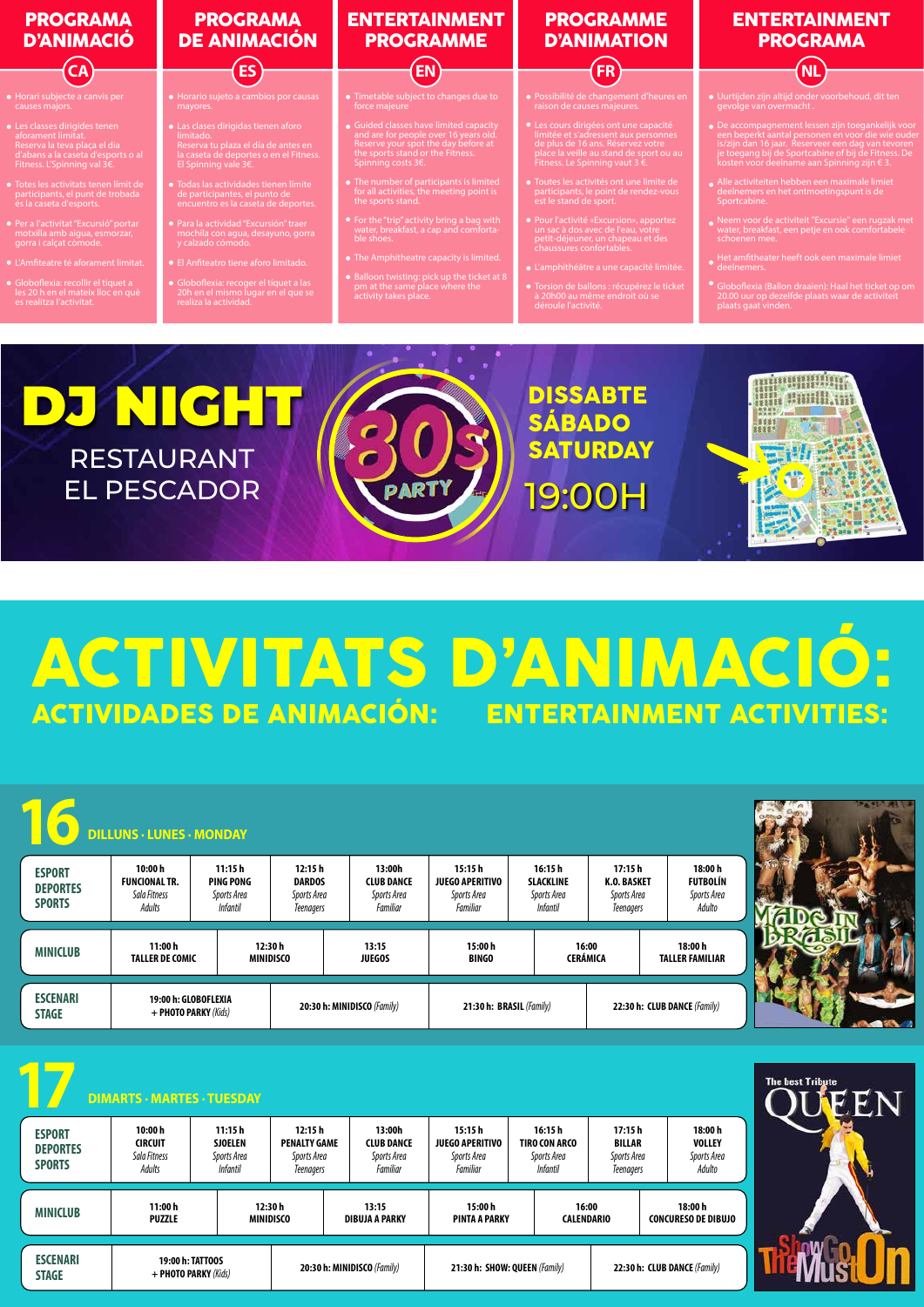

## ACTIVITATS D'ANIMACIÓ:<br>Actividades de Animación: entertainment activities: ACTIVIDADES DE ANIMACIÓN:

|                                                   | <b>DILLUNS - LUNES - MONDAY</b>                          |                                                              |                                                                  |                                                               |                                                                    |                                                                  |                                                                 |                                                     | <b>PACIN AND</b>               |
|---------------------------------------------------|----------------------------------------------------------|--------------------------------------------------------------|------------------------------------------------------------------|---------------------------------------------------------------|--------------------------------------------------------------------|------------------------------------------------------------------|-----------------------------------------------------------------|-----------------------------------------------------|--------------------------------|
| <b>ESPORT</b><br><b>DEPORTES</b><br><b>SPORTS</b> | 10:00h<br><b>FUNCIONAL TR.</b><br>Sala Fitness<br>Adults | 11:15h<br><b>PING PONG</b><br>Sports Area<br><b>Infantil</b> | 12:15h<br><b>DARDOS</b><br>Sports Area<br><b>Teenagers</b>       | 13:00h<br><b>CLUB DANCE</b><br>Sports Area<br>Familiar        | 15:15h<br><b>JUEGO APERITIVO</b><br>Sports Area<br>Familiar        | 16:15h<br><b>SLACKLINE</b><br>Sports Area<br><b>Infantil</b>     | 17:15h<br><b>K.O. BASKET</b><br>Sports Area<br><b>Teenagers</b> | 18:00 h<br><b>FUTBOLÍN</b><br>Sports Area<br>Adulto |                                |
| <b>MINICLUB</b>                                   | 11:00h<br><b>TALLER DE COMIC</b>                         |                                                              | 12:30h<br><b>MINIDISCO</b>                                       | 13:15<br><b>JUEGOS</b>                                        | 15:00h<br><b>BINGO</b>                                             |                                                                  | 16:00<br><b>CERÁMICA</b>                                        | 18:00 h<br><b>TALLER FAMILIAR</b>                   |                                |
| <b>ESCENARI</b><br><b>STAGE</b>                   | 19:00 h: GLOBOFLEXIA<br>+ PHOTO PARKY (Kids)             |                                                              |                                                                  | 20:30 h: MINIDISCO (Family)                                   | 21:30 h: BRASIL (Family)                                           |                                                                  |                                                                 | 22:30 h: CLUB DANCE (Family)                        |                                |
|                                                   |                                                          |                                                              |                                                                  |                                                               |                                                                    |                                                                  |                                                                 |                                                     |                                |
|                                                   | <b>DIMARTS - MARTES - TUESDAY</b>                        |                                                              |                                                                  |                                                               |                                                                    |                                                                  |                                                                 |                                                     | <b>The best Tribute</b><br>EEN |
| <b>ESPORT</b><br><b>DEPORTES</b><br><b>SPORTS</b> | 10:00 h<br><b>CIRCUIT</b><br>Sala Fitness<br>Adults      | 11:15h<br><b>SJOELEN</b><br>Sports Area<br><b>Infantil</b>   | 12:15h<br><b>PENALTY GAME</b><br>Sports Area<br><b>Teenagers</b> | 13:00h<br><b>CLUB DANCE</b><br>Sports Area<br><b>Familiar</b> | 15:15h<br><b>JUEGO APERITIVO</b><br>Sports Area<br><b>Familiar</b> | 16:15h<br><b>TIRO CON ARCO</b><br>Sports Area<br><b>Infantil</b> | 17:15h<br><b>BILLAR</b><br>Sports Area<br><b>Teenagers</b>      | 18:00h<br><b>VOLLEY</b><br>Sports Area<br>Adulto    |                                |
| <b>MINICLUB</b>                                   | 11:00h<br><b>PUZZLE</b>                                  |                                                              | 12:30 h<br><b>MINIDISCO</b>                                      | 13:15<br><b>DIBUJA A PARKY</b>                                | 15:00h<br><b>PINTA A PARKY</b>                                     |                                                                  | 16:00<br><b>CALENDARIO</b>                                      | 18:00 h<br><b>CONCURESO DE DIBUJO</b>               |                                |

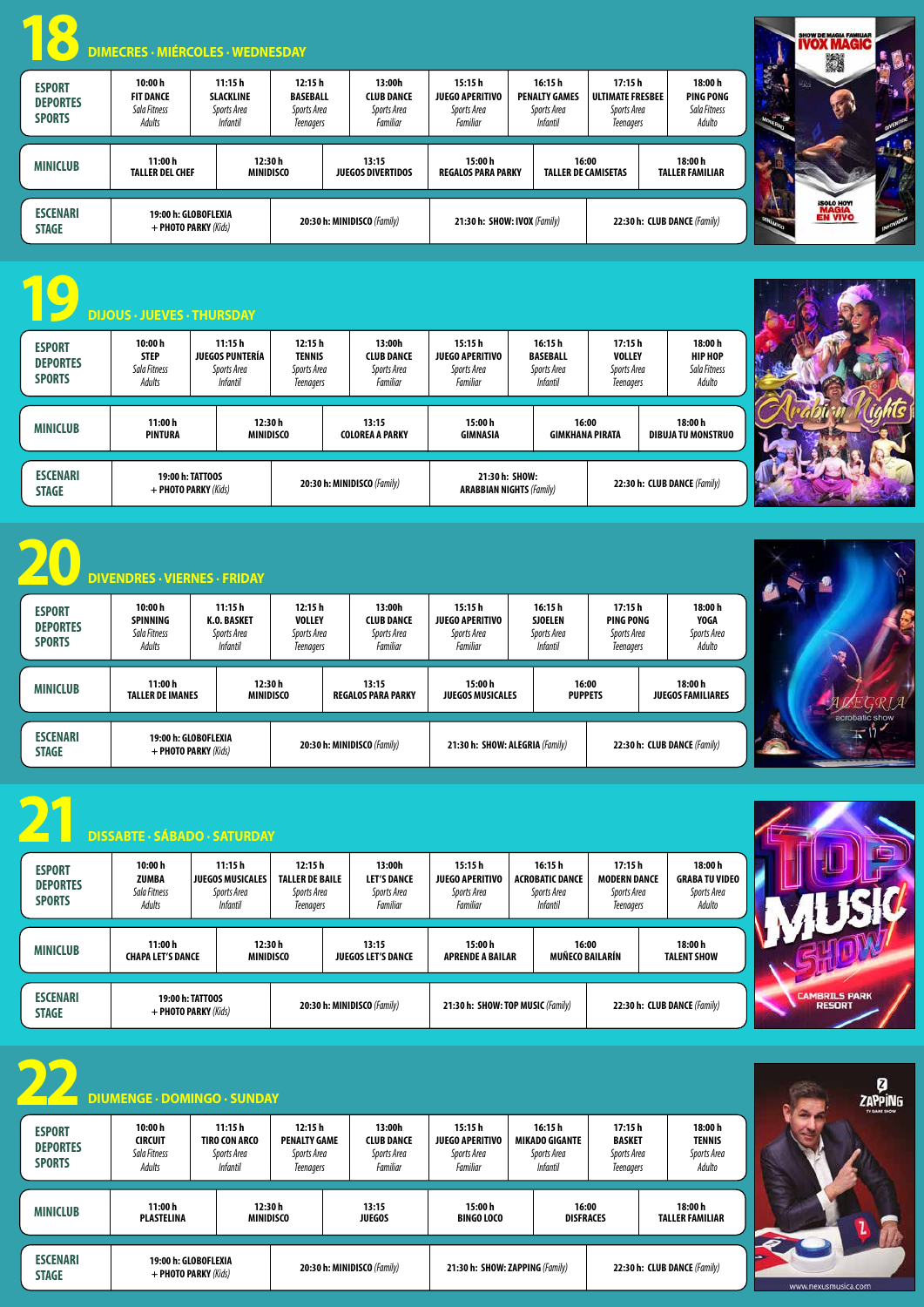| <b>ESPORT</b><br><b>DEPORTES</b><br><b>SPORTS</b> | 10:00 h<br><b>FIT DANCE</b><br>Sala Fitness<br>Adults | 11:15h<br><b>SLACKLINE</b><br>Sports Area<br><i>Infantil</i> | 12:15h<br><b>BASEBALL</b><br>Sports Area<br><b>Teenagers</b>    | 13:00h<br><b>CLUB DANCE</b><br>Sports Area<br><b>Familiar</b> | 15:15h<br><b>JUEGO APERITIVO</b><br>Sports Area<br>Familiar | 16:15h<br><b>PENALTY GAMES</b><br>Sports Area<br><i>Infantil</i> | 17:15h<br><b>ULTIMATE FRESBEE</b><br>Sports Area<br><b>Teenagers</b> | 18:00 h<br>PING PONG<br>Sala Fitness<br>Adulto |
|---------------------------------------------------|-------------------------------------------------------|--------------------------------------------------------------|-----------------------------------------------------------------|---------------------------------------------------------------|-------------------------------------------------------------|------------------------------------------------------------------|----------------------------------------------------------------------|------------------------------------------------|
| <b>MINICLUB</b>                                   | 11:00 h<br><b>TALLER DEL CHEF</b>                     |                                                              | 12:30h<br>13:15<br><b>MINIDISCO</b><br><b>JUEGOS DIVERTIDOS</b> |                                                               | 15:00 h<br><b>REGALOS PARA PARKY</b>                        | <b>TALLER DE CAMISETAS</b>                                       | 16:00                                                                | 18:00 h<br><b>TALLER FAMILIAR</b>              |
| <b>ESCENARI</b><br><b>STAGE</b>                   |                                                       | 19:00 h: GLOBOFLEXIA<br>+ PHOTO PARKY (Kids)                 |                                                                 | 20:30 h: MINIDISCO (Family)                                   | 21:30 h: SHOW: IVOX (Family)                                |                                                                  |                                                                      | 22:30 h: CLUB DANCE (Family)                   |



|                                                   | <b>DIJOUS · JUEVES · THURSDAY</b>                |                                                                    |                                                     |                                                        |                                                              |                                                              |                                                            |                                                     |
|---------------------------------------------------|--------------------------------------------------|--------------------------------------------------------------------|-----------------------------------------------------|--------------------------------------------------------|--------------------------------------------------------------|--------------------------------------------------------------|------------------------------------------------------------|-----------------------------------------------------|
| <b>ESPORT</b><br><b>DEPORTES</b><br><b>SPORTS</b> | 10:00 h<br><b>STEP</b><br>Sala Fitness<br>Adults | 11:15h<br><b>JUEGOS PUNTERÍA</b><br>Sports Area<br><i>Infantil</i> | 12:15h<br><b>TENNIS</b><br>Sports Area<br>Teenagers | 13:00h<br><b>CLUB DANCE</b><br>Sports Area<br>Familiar | 15:15 h<br><b>JUEGO APERITIVO</b><br>Sports Area<br>Familiar | 16:15 h<br><b>BASEBALL</b><br>Sports Area<br><b>Infantil</b> | 17:15h<br><b>VOLLEY</b><br>Sports Area<br><b>Teenagers</b> | 18:00 h<br><b>HIP HOP</b><br>Sala Fitness<br>Adulto |
| <b>MINICLUB</b>                                   | 11:00 h<br><b>PINTURA</b>                        |                                                                    | 12:30 h<br><b>MINIDISCO</b>                         | 13:15<br><b>COLOREA A PARKY</b>                        | 15:00h<br><b>GIMNASIA</b>                                    |                                                              | 16:00<br><b>GIMKHANA PIRATA</b>                            | 18:00 h<br>DIBUJA TU MONSTRUO                       |
| <b>ESCENARI</b><br><b>STAGE</b>                   |                                                  | <b>19:00 h: TATTOOS</b><br>+ PHOTO PARKY (Kids)                    |                                                     | 20:30 h: MINIDISCO (Family)                            | 21:30 h: SHOW:<br><b>ARABBIAN NIGHTS (Family)</b>            |                                                              |                                                            | 22:30 h: CLUB DANCE (Family)                        |

|                                                                                                                                                                                   | <b>DIVENDRES - VIERNES - FRIDAY</b>                  |                                                         |                                                            |  |                                                        |                                                             |                                                            |                                                         |  |                                                 |
|-----------------------------------------------------------------------------------------------------------------------------------------------------------------------------------|------------------------------------------------------|---------------------------------------------------------|------------------------------------------------------------|--|--------------------------------------------------------|-------------------------------------------------------------|------------------------------------------------------------|---------------------------------------------------------|--|-------------------------------------------------|
| <b>ESPORT</b><br><b>DEPORTES</b><br><b>SPORTS</b>                                                                                                                                 | 10:00 h<br><b>SPINNING</b><br>Sala Fitness<br>Adults | 11:15h<br>K.O. BASKET<br>Sports Area<br><b>Infantil</b> | 12:15h<br><b>VOLLEY</b><br>Sports Area<br><b>Teenagers</b> |  | 13:00h<br><b>CLUB DANCE</b><br>Sports Area<br>Familiar | 15:15h<br><b>JUEGO APERITIVO</b><br>Sports Area<br>Familiar | 16:15h<br><b>SJOELEN</b><br>Sports Area<br><b>Infantil</b> | 17:15 h<br>PING PONG<br>Sports Area<br><b>Teenagers</b> |  | 18:00 h<br><b>YOGA</b><br>Sports Area<br>Adulto |
| <b>MINICLUB</b>                                                                                                                                                                   | 11:00 h<br><b>TALLER DE IMANES</b>                   |                                                         | 12:30 h<br><b>MINIDISCO</b>                                |  | 13:15<br><b>REGALOS PARA PARKY</b>                     | 15:00 h<br><b>JUEGOS MUSICALES</b>                          |                                                            | 16:00<br><b>PUPPETS</b>                                 |  | 18:00 h<br><b>JUEGOS FAMILIARES</b>             |
| <b>ESCENARI</b><br>19:00 h: GLOBOFLEXIA<br>20:30 h: MINIDISCO (Family)<br>21:30 h: SHOW: ALEGRIA (Family)<br>22:30 h: CLUB DANCE (Family)<br>+ PHOTO PARKY (Kids)<br><b>STAGE</b> |                                                      |                                                         |                                                            |  |                                                        |                                                             |                                                            |                                                         |  |                                                 |

| <b>ESCENARI</b><br><b>STAGE</b>                   | 19:00 h: TATTOOS<br>+ PHOTO PARKY (Kids)                                                                        |                                                                  | 20:30 h: MINIDISCO (Family)<br>22:30 h: CLUB DANCE (Family)<br>21:30 h: SHOW: TOP MUSIC (Family) |                                                              |                                                                    |                                                      |                                                  | <b>CAMBRILS PARK</b><br><b>RESORT</b> |
|---------------------------------------------------|-----------------------------------------------------------------------------------------------------------------|------------------------------------------------------------------|--------------------------------------------------------------------------------------------------|--------------------------------------------------------------|--------------------------------------------------------------------|------------------------------------------------------|--------------------------------------------------|---------------------------------------|
|                                                   | <b>DIUMENGE · DOMINGO · SUNDAY</b>                                                                              |                                                                  |                                                                                                  |                                                              |                                                                    |                                                      |                                                  | Ø<br><b>ZAPPING</b><br>TV GARE SHOW   |
| <b>ESPORT</b><br><b>DEPORTES</b><br><b>SPORTS</b> | 10:00h<br>11:15h<br><b>CIRCUIT</b><br>TIRO CON ARCO<br>Sala Fitness<br>Sports Area<br>Adults<br><b>Infantil</b> | 12:15h<br><b>PENALTY GAME</b><br>Sports Area<br><b>Teenagers</b> | 13:00h<br><b>CLUB DANCE</b><br>Sports Area<br>Familiar                                           | 15:15 h<br><b>JUEGO APERITIVO</b><br>Sports Area<br>Familiar | 16:15 h<br><b>MIKADO GIGANTE</b><br>Sports Area<br><b>Infantil</b> | 17:15 h<br><b>BASKET</b><br>Sports Area<br>Teenagers | 18:00h<br><b>TENNIS</b><br>Sports Area<br>Adulto |                                       |
| <b>MINICLUB</b>                                   | 11:00h<br><b>PLASTELINA</b>                                                                                     | 12:30h<br>MINIDISCO                                              | 13:15<br><b>JUEGOS</b>                                                                           | 15:00 h<br><b>BINGO LOCO</b>                                 |                                                                    | 16:00<br><b>DISFRACES</b>                            | 18:00 h<br><b>TALLER FAMILIAR</b>                |                                       |
| <b>ESCENARI</b><br><b>STAGE</b>                   | 19:00 h: GLOBOFLEXIA<br>+ PHOTO PARKY (Kids)                                                                    |                                                                  | 20:30 h: MINIDISCO (Family)                                                                      |                                                              | 21:30 h: SHOW: ZAPPING (Family)                                    |                                                      | 22:30 h: CLUB DANCE (Family)                     | www.nexusmusica.com                   |

|                                                   | <b>DISSABTE - SÁBADO - SATURDAY</b>               |                                                                     |                                                                     |                                                         |                                                                    |                                                             |                                                            |                                                           |
|---------------------------------------------------|---------------------------------------------------|---------------------------------------------------------------------|---------------------------------------------------------------------|---------------------------------------------------------|--------------------------------------------------------------------|-------------------------------------------------------------|------------------------------------------------------------|-----------------------------------------------------------|
| <b>ESPORT</b><br><b>DEPORTES</b><br><b>SPORTS</b> | 10:00 h<br><b>ZUMBA</b><br>Sala Fitness<br>Adults | 11:15h<br><b>JUEGOS MUSICALES</b><br>Sports Area<br><i>Infantil</i> | 12:15h<br><b>TALLER DE BAILE</b><br>Sports Area<br><b>Teenagers</b> | 13:00h<br><b>LET'S DANCE</b><br>Sports Area<br>Familiar | 15:15h<br><b>JUEGO APERITIVO</b><br>Sports Area<br><b>Familiar</b> | 16:15h<br><b>ACROBATIC DANCE</b><br>Sports Area<br>Infantil | 17:15 h<br><b>MODERN DANCE</b><br>Sports Area<br>Teenagers | 18:00 h<br><b>GRABA TU VIDEO</b><br>Sports Area<br>Adulto |
| <b>MINICLUB</b>                                   | 11:00 h<br><b>CHAPA LET'S DANCE</b>               | <b>MINIDISCO</b>                                                    | 12:30 h                                                             | 13:15<br><b>JUEGOS LET'S DANCE</b>                      | 15:00 h<br><b>APRENDE A BAILAR</b>                                 |                                                             | 16:00<br><b>MUÑECO BAILARÍN</b>                            | 18:00 h<br><b>TALENT SHOW</b>                             |





| <b>A</b> | <b>OURIE DIMECRES - MIÉRCOLES - WEDNESDAY</b> |  |  |
|----------|-----------------------------------------------|--|--|
|          |                                               |  |  |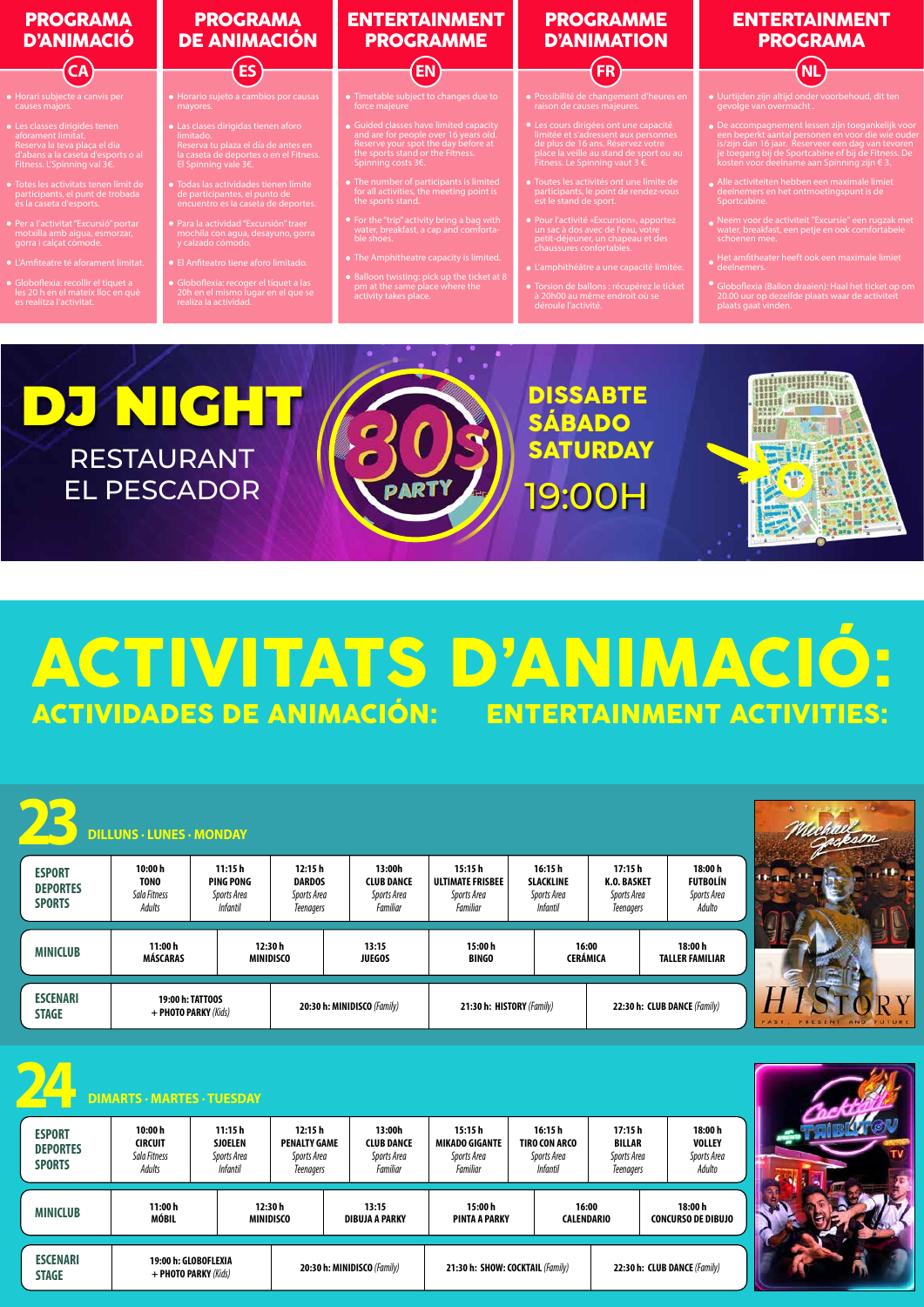

## ACTIVITATS D'ANIMACIÓ:<br>Actividades de Animación: entertainment activities: ACTIVIDADES DE ANIMACIÓN:

|                                                   | <b>DILLUNS · LUNES · MONDAY</b>                     |                                                              |                                                                  |                                                        |                                                              |                                                                  |                                                                 |                                                    |  |
|---------------------------------------------------|-----------------------------------------------------|--------------------------------------------------------------|------------------------------------------------------------------|--------------------------------------------------------|--------------------------------------------------------------|------------------------------------------------------------------|-----------------------------------------------------------------|----------------------------------------------------|--|
| <b>ESPORT</b><br><b>DEPORTES</b><br><b>SPORTS</b> | 10:00 h<br><b>TONO</b><br>Sala Fitness<br>Adults    | 11:15h<br><b>PING PONG</b><br>Sports Area<br><b>Infantil</b> | 12:15h<br><b>DARDOS</b><br>Sports Area<br><b>Teenagers</b>       | 13:00h<br><b>CLUB DANCE</b><br>Sports Area<br>Familiar | 15:15h<br><b>ULTIMATE FRISBEE</b><br>Sports Area<br>Familiar | 16:15h<br><b>SLACKLINE</b><br>Sports Area<br><b>Infantil</b>     | 17:15h<br><b>K.O. BASKET</b><br>Sports Area<br><b>Teenagers</b> | 18:00h<br><b>FUTBOLÍN</b><br>Sports Area<br>Adulto |  |
| <b>MINICLUB</b>                                   | 11:00h<br><b>MÁSCARAS</b>                           |                                                              | 12:30h<br><b>MINIDISCO</b>                                       | 13:15<br><b>JUEGOS</b>                                 | 15:00h<br><b>BINGO</b>                                       | <b>CERÁMICA</b>                                                  | 16:00                                                           | 18:00 h<br><b>TALLER FAMILIAR</b>                  |  |
|                                                   |                                                     |                                                              |                                                                  |                                                        |                                                              |                                                                  |                                                                 |                                                    |  |
| <b>ESCENARI</b><br><b>STAGE</b>                   | 19:00 h: TATT00S<br>+ PHOTO PARKY (Kids)            |                                                              |                                                                  | 20:30 h: MINIDISCO (Family)                            | 21:30 h: HISTORY (Family)                                    |                                                                  |                                                                 | 22:30 h: CLUB DANCE (Family)                       |  |
|                                                   | <b>DIMARTS - MARTES - TUESDAY</b>                   |                                                              |                                                                  |                                                        |                                                              |                                                                  |                                                                 |                                                    |  |
| <b>ESPORT</b><br><b>DEPORTES</b><br><b>SPORTS</b> | 10:00 h<br><b>CIRCUIT</b><br>Sala Fitness<br>Adults | 11:15h<br><b>SJOELEN</b><br>Sports Area<br><b>Infantil</b>   | 12:15h<br><b>PENALTY GAME</b><br>Sports Area<br><b>Teenagers</b> | 13:00h<br><b>CLUB DANCE</b><br>Sports Area<br>Familiar | 15:15h<br><b>MIKADO GIGANTE</b><br>Sports Area<br>Familiar   | 16:15h<br><b>TIRO CON ARCO</b><br>Sports Area<br><b>Infantil</b> | 17:15h<br><b>BILLAR</b><br>Sports Area<br><b>Teenagers</b>      | 18:00h<br><b>VOLLEY</b><br>Sports Area<br>Adulto   |  |
| <b>MINICLUB</b>                                   | 11:00h<br><b>MÓBIL</b>                              |                                                              | 12:30 h<br><b>MINIDISCO</b>                                      | 13:15<br><b>DIBUJA A PARKY</b>                         | 15:00h<br><b>PINTA A PARKY</b>                               |                                                                  | 16:00<br><b>CALENDARIO</b>                                      | 18:00 h<br><b>CONCURSO DE DIBUJO</b>               |  |